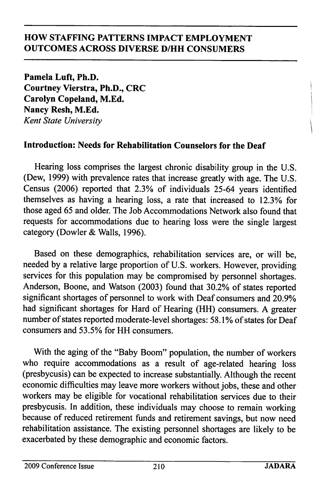Pamela Luft, Ph.D. Courtney Vierstra, Ph.D., CRC Carolyn Copeland, M.Ed. Nancy Resh, M.Ed. Kent State University

# Introduction: Needs for Rehabilitation Counselors for the Deaf

Hearing loss comprises the largest chronic disability group in the U.S. (Dew, 1999) with prevalence rates that increase greatly with age. The U.S. Census (2006) reported that 2.3% of individuals 25-64 years identified themselves as having a hearing loss, a rate that increased to 12.3% for those aged 65 and older. The Job Accommodations Network also found that requests for accommodations due to hearing loss were the single largest category (Dowler & Walls, 1996).

Based on these demographics, rehabilitation services are, or will be, needed by a relative large proportion of U.S. workers. However, providing services for this population may be compromised by personnel shortages. Anderson, Boone, and Watson (2003) found that 30.2% of states reported significant shortages of personnel to work with Deaf consumers and 20.9% had significant shortages for Hard of Hearing (HH) consumers. A greater number of states reported moderate-level shortages: 58.1% of states for Deaf consumers and 53.5% for HH consumers.

With the aging of the "Baby Boom" population, the number of workers who require accommodations as a result of age-related hearing loss (presbycusis) can be expected to increase substantially. Although the recent economic difficulties may leave more workers without jobs, these and other workers may be eligible for vocational rehabilitation services due to their presbycusis. In addition, these individuals may choose to remain working because of reduced retirement funds and retirement savings, but now need rehabilitation assistance. The existing personnel shortages are likely to be exacerbated by these demographic and economic factors.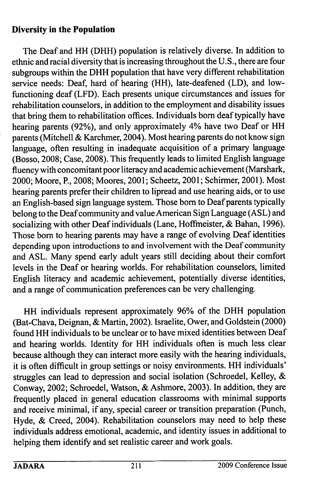### Diversity in the Population

The Deaf and HH (DHH) population is relatively diverse. In addition to ethnic and racial diversity that is increasing throughout the U.S., there are four subgroups within the DHH population that have very different rehabilitation service needs: Deaf, hard of hearing (HH), late-deafened (LD), and lowfunctioning deaf (LFD). Each presents unique circumstances and issues for rehabilitation counselors, in addition to the employment and disability issues that bring them to rehabilitation offices. Individuals bom deaf typically have hearing parents (92%), and only approximately 4% have two Deaf or HH parents (Mitchell & Karchmer, 2004). Most hearing parents do not know sign language, often resulting in inadequate acquisition of a primary language (Bosso, 2008; Case, 2008). This frequently leads to limited English language fluency with concomitant poor literacy and academic achievement (Marshark, 2000; Moore, P., 2008; Moores, 2001; Scheetz, 2001; Schirmer, 2001). Most hearing parents prefer their children to lipread and use hearing aids, or to use an English-based sign language system. Those bom to Deaf parents typically belong to the Deaf community and value American Sign Language (ASL) and socializing with other Deaf individuals (Lane, Hoffmeister, & Bahan, 1996). Those bom to hearing parents may have a range of evolving Deaf identities depending upon introductions to and involvement with the Deaf community and ASL. Many spend early adult years still deciding about their comfort levels in the Deaf or hearing worlds. For rehabilitation counselors, limited English literacy and academic achievement, potentially diverse identities, and a range of communication preferences can be very challenging.

HH individuals represent approximately 96% of the DHH population (Bat-Chava, Deignan, & Martin, 2002). Israelite, Ower, and Goldstein (2000) found HH individuals to be unclear or to have mixed identities between Deaf and hearing worlds. Identity for HH individuals often is much less clear because although they can interact more easily with the hearing individuals, it is often difficult in group settings or noisy environments. HH individuals' struggles can lead to depression and social isolation (Schroedel, Kelley, & Conway, 2002; Schroedel, Watson, & Ashmore, 2003). In addition, they are frequently placed in general education classrooms with minimal supports and receive minimal, if any, special career or transition preparation (Punch, Hyde, & Creed, 2004). Rehabilitation counselors may need to help these individuals address emotional, academic, and identity issues in additional to helping them identify and set realistic career and work goals.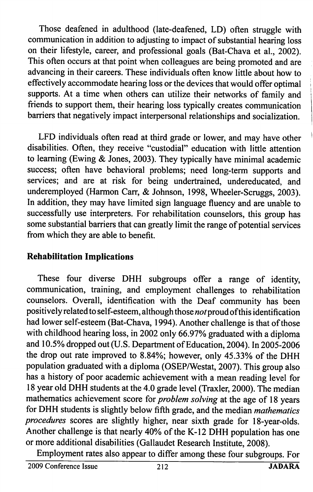Those deafened in adulthood (late-deafened, LD) often struggle with communication in addition to adjusting to impact of substantial hearing loss on their lifestyle, career, and professional goals (Bat-Chava et al, 2002). This often occurs at that point when colleagues are being promoted and are advancing in their careers. These individuals often know little about how to effectively accommodate hearing loss or the devices that would offer optimal supports. At a time when others can utilize their networks of family and friends to support them, their hearing loss typically creates communication barriers that negatively impact interpersonal relationships and socialization.

LFD individuals often read at third grade or lower, and may have other disabilities. Often, they receive "custodial" education with little attention to learning (Ewing & Jones, 2003). They typically have minimal academic success; often have behavioral problems; need long-term supports and services; and are at risk for being undertrained, undereducated, and underemployed (Harmon Carr, & Johnson, 1998, Wheeler-Scruggs, 2003). In addition, they may have limited sign language fluency and are unable to successfully use interpreters. For rehabilitation counselors, this group has some substantial barriers that can greatly limit the range of potential services from which they are able to benefit.

## Rehabilitation Implications

These four diverse DHH subgroups offer a range of identity, communication, training, and employment challenges to rehabilitation counselors. Overall, identification with the Deaf community has been positively related to self-esteem, although those not proud of this identification had lower self-esteem (Bat-Chava, 1994). Another challenge is that of those with childhood hearing loss, in 2002 only 66.97% graduated with a diploma and 10.5% dropped out (U.S. Department of Education, 2004). In 2005-2006 the drop out rate improved to 8.84%; however, only 45.33% of the DHH population graduated with a diploma (OSEP/Westat, 2007). This group also has a history of poor academic achievement with a mean reading level for 18 year old DHH students at the 4.0 grade level (Traxler, 2000). The median mathematics achievement score for *problem solving* at the age of 18 years for DHH students is slightly below fifth grade, and the median mathematics procedures scores are slightly higher, near sixth grade for 18-year-olds. Another challenge is that nearly 40% of the K-12 DHH population has one or more additional disabilities (Gallaudet Research Institute, 2008).

Employment rates also appear to differ among these four subgroups. For

2009 Conference Issue 212 JADARA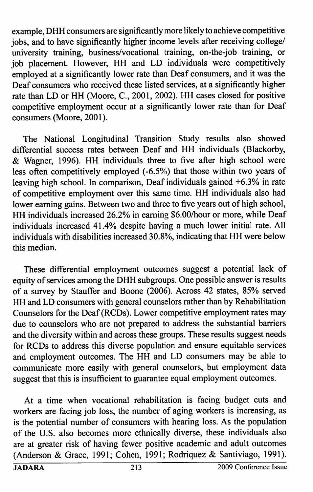example, DHH consumers are significantly more likely to achieve competitive jobs, and to have significantly higher income levels after receiving college/ university training, business/vocational training, on-the-job training, or job placement. However, HH and LD individuals were competitively employed at a significantly lower rate than Deaf consumers, and it was the Deaf consumers who received these listed services, at a significantly higher rate than LD or HH (Moore, C., 2001, 2002). HH cases closed for positive competitive employment occur at a significantly lower rate than for Deaf consumers (Moore, 2001).

The National Longitudinal Transition Study results also showed differential success rates between Deaf and HH individuals (Blackorby, & Wagner, 1996). HH individuals three to five after high school were less often competitively employed (-6.5%) that those within two years of leaving high school. In comparison. Deaf individuals gained +6.3% in rate of competitive employment over this same time. HH individuals also had lower earning gains. Between two and three to five years out of high school, HH individuals increased 26.2% in earning \$6.00/hour or more, while Deaf individuals increased 41.4% despite having a much lower initial rate. All individuals with disabilities increased 30.8%, indicating that HH were below this median.

These differential employment outcomes suggest a potential lack of equity of services among the DHH subgroups. One possible answer is results of a survey by Stauffer and Boone (2006). Across 42 states, 85% served HH and LD consumers with general counselors rather than by Rehabilitation Counselors for the Deaf (RCDs). Lower competitive employment rates may due to counselors who are not prepared to address the substantial barriers and the diversity within and across these groups. These results suggest needs for RCDs to address this diverse population and ensure equitable services and employment outcomes. The HH and LD consumers may be able to communicate more easily with general counselors, but employment data suggest that this is insufficient to guarantee equal employment outcomes.

At a time when vocational rehabilitation is facing budget cuts and workers are facing job loss, the number of aging workers is increasing, as is the potential number of consumers with hearing loss. As the population of the U.S. also becomes more ethnically diverse, these individuals also are at greater risk of having fewer positive academic and adult outcomes (Anderson & Grace, 1991; Cohen, 1991; Rodriquez & Santiviago, 1991).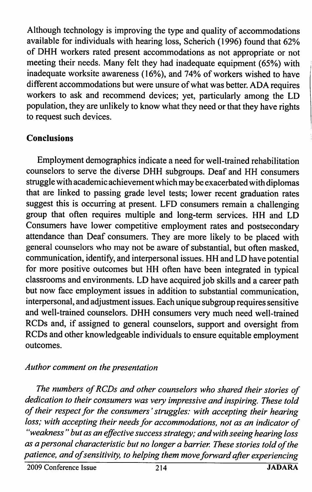Although technology is improving the type and quality of accommodations available for individuals with hearing loss, Scherich (1996) found that 62% of DHH workers rated present accommodations as not appropriate or not meeting their needs. Many felt they had inadequate equipment (65%) with inadequate worksite awareness (16%), and 74% of workers wished to have different accommodations but were unsure of what was better. ADA requires workers to ask and recommend devices; yet, particularly among the LD population, they are unlikely to know what they need or that they have rights to request such devices.

# Conclusions

Employment demographics indicate a need for well-trained rehabilitation counselors to serve the diverse DHH subgroups. Deaf and HH consumers struggle with academic achievement which may be exacerbated with diplomas that are linked to passing grade level tests; lower recent graduation rates suggest this is occurring at present. LED consumers remain a challenging group that often requires multiple and long-term services. HH and LD Consumers have lower competitive employment rates and postsecondary attendance than Deaf consumers. They are more likely to be placed with general counselors who may not be aware of substantial, but often masked, communication, identify, and interpersonal issues. HH and LD have potential for more positive outcomes but HH often have been integrated in typical classrooms and environments. LD have acquired job skills and a career path but now face employment issues in addition to substantial communication, interpersonal, and adjustment issues. Each unique subgroup requires sensitive and well-trained counselors. DHH consumers very much need well-trained RCDs and, if assigned to general counselors, support and oversight from RCDs and other knowledgeable individuals to ensure equitable employment outcomes.

#### Author comment on the presentation

The numbers of RCDs and other counselors who shared their stories of dedication to their consumers was very impressive and inspiring. These told of their respect for the consumers' struggles: with accepting their hearing loss; with accepting their needs for accommodations, not as an indicator of "weakness " but as an effective success strategy; and with seeing hearing loss as a personal characteristic but no longer a barrier. These stories told of the patience, and of sensitivity, to helping them move forward after experiencing

2009 Conference Issue 214 JADARA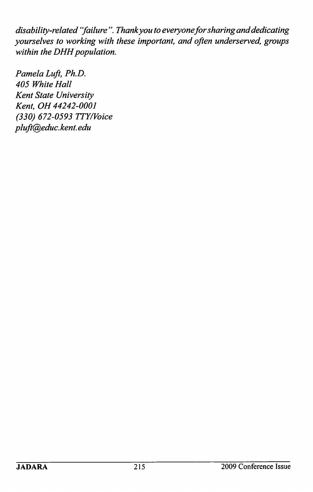disability-related "failure". Thank you to everyone for sharing and dedicating yourselves to working with these important, and often underserved, groups within the DHH population.

Pamela Luft, Ph.D. 405 White Hall Kent State University Kent. OH 44242-0001 (330) 672-0593 TTY/Voice pluft@educ. kent. edu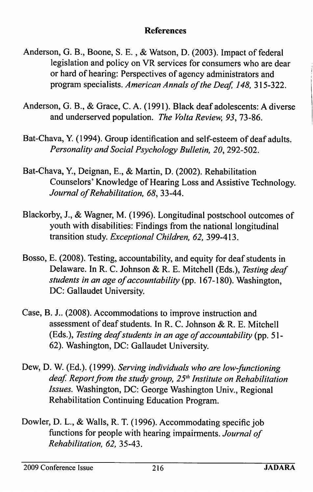### **References**

- Anderson, G. B., Boone, S. E., & Watson, D. (2003). Impact of federal legislation and policy on VR services for consumers who are dear or hard of hearing: Perspectives of agency administrators and program specialists. American Annals of the Deaf, 148, 315-322.
- Anderson, G. B., & Grace, C. A. (1991). Black deaf adolescents: A diverse and underserved population. The Volta Review, 93, 73-86.
- Bat-Chava, Y. (1994). Group identification and self-esteem of deaf adults. Personality and Social Psychology Bulletin, 20, 292-502.
- Bat-Chava, ¥., Deignan, E., & Martin, D. (2002). Rehabilitation Counselors' Knowledge of Hearing Loss and Assistive Technology. Journal of Rehabilitation, 68, 33-44.
- Blackorby, J., & Wagner, M. (1996). Longitudinal postschool outcomes of youth with disabilities: Findings from the national longitudinal transition study. Exceptional Children, 62, 399-413.
- Bosso, E. (2008). Testing, accountability, and equity for deaf students in Delaware. In R. C. Johnson & R. E. Mitchell (Eds.), Testing deaf students in an age of accountability (pp. 167-180). Washington, DC: Gallaudet University.
- Case, B. J.. (2008). Accommodations to improve instruction and assessment of deaf students. In R. C. Johnson & R. E. Mitchell (Eds.), Testing deaf students in an age of accountability (pp. 51 - 62). Washington, DC: Gallaudet University.
- Dew, D. W. (Ed.). (1999). Serving individuals who are low-functioning deaf. Report from the study group,  $25<sup>th</sup>$  Institute on Rehabilitation Issues. Washington, DC: George Washington Univ., Regional Rehabilitation Continuing Education Program.
- Dowler, D. L., & Walls, R. T. (1996). Accommodating specific job functions for people with hearing impairments. Journal of Rehabilitation, 62, 35-43.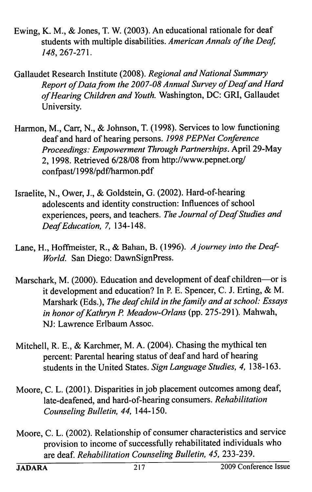- Ewing, K. M., & Jones, T. W. (2003). An educational rationale for deaf students with multiple disabilities. American Annals of the Deaf, 148, 261-21 \.
- Gallaudet Research Institute (2008). Regional and National Summary Report of Data from the 2007-08 Annual Survey of Deaf and Hard of Hearing Children and Youth. Washington, DC: GRI, Gallaudet University.
- Harmon, M., Carr, N., & Johnson, T. (1998). Services to low functioning deaf and hard of hearing persons. 1998 PEPNet Conference Proceedings: Empowerment Through Partnerships. April 29-May 2, 1998. Retrieved 6/28/08 from http://www.pepnet.org/ confpast/1998/pdf/harmon.pdf
- Israelite, N., Ower, J., & Goldstein, G. (2002). Hard-of-hearing adolescents and identity construction: Influences of school experiences, peers, and teachers. The Journal of Deaf Studies and Deaf Education, 7, 134-148.
- Lane, H., Hoffmeister, R., & Bahan, B. (1996). A journey into the Deaf-World. San Diego: DawnSignPress.
- Marschark, M. (2000). Education and development of deaf children—or is it development and education? In P. E. Spencer, C. J. Erting, & M. Marshark (Eds.), The deaf child in the family and at school: Essays in honor of Kathryn P. Meadow-Orlans (pp. 275-291). Mahwah, NJ: Lawrence Erlbaum Assoc.
- Mitchell, R. E., & Karchmer, M. A. (2004). Chasing the mythical ten percent: Parental hearing status of deaf and hard of hearing students in the United States. Sign Language Studies, 4, 138-163.
- Moore, C. L. (2001). Disparities in job placement outcomes among deaf, late-deafened, and hard-of-hearing consumers. Rehabilitation Counseling Bulletin, 44, 144-150.
- Moore, C. L. (2002). Relationship of consumer characteristics and service provision to income of successfully rehabilitated individuals who are deaf. Rehabilitation Counseling Bulletin, 45, 233-239.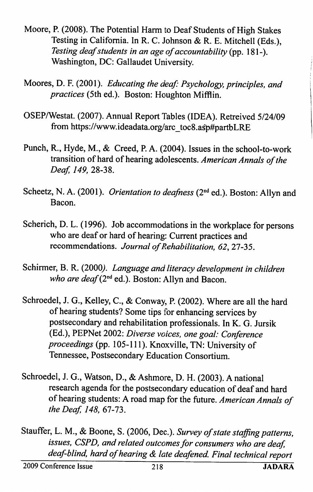- Moore, R (2008). The Potential Harm to Deaf Students of High Stakes Testing in California. In R. C. Johnson & R. E. Mitchell (Eds.), Testing deaf students in an age of accountability (pp. 181-). Washington, DC: Gallaudet University.
- Moores, D. F. (2001). Educating the deaf: Psychology, principles, and practices (5th ed.). Boston: Houghton Mifflin,
- OSEP/Westat. (2007). Annual Report Tables (IDEA). Retreived 5/24/09 from https://www.ideadata.org/arc\_toc8.asp#partbLRE
- Punch, R., Hyde, M., & Creed, P. A. (2004). Issues in the school-to-work transition of hard of hearing adolescents. American Annals of the Deaf, 149, 28-38.
- Scheetz, N. A. (2001). Orientation to deafness (2<sup>nd</sup> ed.). Boston: Allyn and Bacon.
- Scherich, D. L. (1996). Job accommodations in the workplace for persons who are deaf or hard of hearing: Current practices and recommendations. Journal of Rehabilitation, 62, 27-35.
- Schirmer, B. R. (2000). Language and literacy development in children who are deaf ( $2<sup>nd</sup>$  ed.). Boston: Allyn and Bacon.
- Schroedel, J. G., Kelley, C., & Conway, P. (2002). Where are all the hard of hearing students? Some tips for enhancing services by postsecondary and rehabilitation professionals. In K. G. Jursik (Ed.), PEPNet 2002: Diverse voices, one goal: Conference proceedings (pp. 105-111). Knoxville, TN: University of Tennessee, Postsecondary Education Consortium.
- Schroedel, J. G., Watson, D., & Ashmore, D. H. (2003). A national research agenda for the postsecondary education of deaf and hard of hearing students: A road map for the future. American Annals of the Deaf, 148, 67-73.
- Stauffer, L. M., & Boone, S. (2006, Dec.). Survey of state staffing patterns, issues, CSPD, and related outcomes for consumers who are deaf, deaf-blind, hard of hearing & late deafened. Final technical report